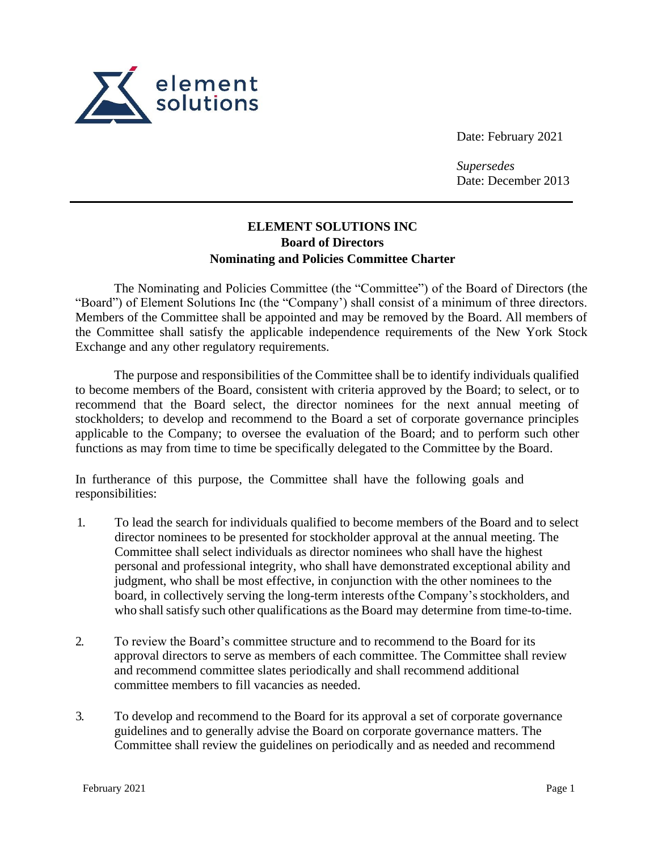

Date: February 2021

*Supersedes* Date: December 2013

## **ELEMENT SOLUTIONS INC Board of Directors Nominating and Policies Committee Charter**

The Nominating and Policies Committee (the "Committee") of the Board of Directors (the "Board") of Element Solutions Inc (the "Company') shall consist of a minimum of three directors. Members of the Committee shall be appointed and may be removed by the Board. All members of the Committee shall satisfy the applicable independence requirements of the New York Stock Exchange and any other regulatory requirements.

The purpose and responsibilities of the Committee shall be to identify individuals qualified to become members of the Board, consistent with criteria approved by the Board; to select, or to recommend that the Board select, the director nominees for the next annual meeting of stockholders; to develop and recommend to the Board a set of corporate governance principles applicable to the Company; to oversee the evaluation of the Board; and to perform such other functions as may from time to time be specifically delegated to the Committee by the Board.

In furtherance of this purpose, the Committee shall have the following goals and responsibilities:

- 1. To lead the search for individuals qualified to become members of the Board and to select director nominees to be presented for stockholder approval at the annual meeting. The Committee shall select individuals as director nominees who shall have the highest personal and professional integrity, who shall have demonstrated exceptional ability and judgment, who shall be most effective, in conjunction with the other nominees to the board, in collectively serving the long-term interests of the Company's stockholders, and who shall satisfy such other qualifications as the Board may determine from time-to-time.
- 2. To review the Board's committee structure and to recommend to the Board for its approval directors to serve as members of each committee. The Committee shall review and recommend committee slates periodically and shall recommend additional committee members to fill vacancies as needed.
- 3. To develop and recommend to the Board for its approval a set of corporate governance guidelines and to generally advise the Board on corporate governance matters. The Committee shall review the guidelines on periodically and as needed and recommend